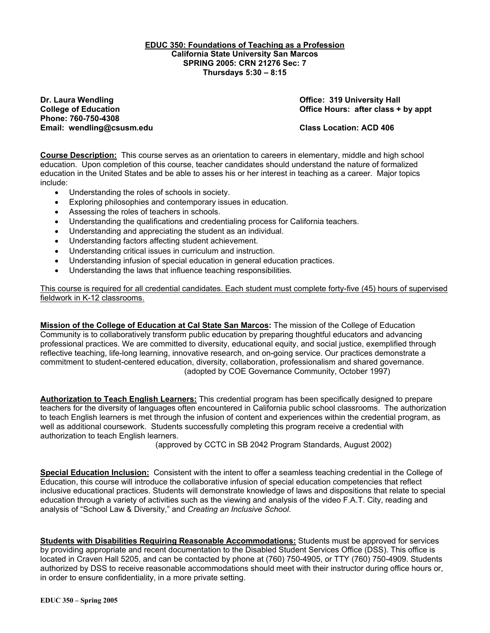#### **EDUC 350: Foundations of Teaching as a Profession California State University San Marcos SPRING 2005: CRN 21276 Sec: 7 Thursdays 5:30 – 8:15**

**Dr. Laura Wendling Community Community Community Community Community Community Community Community Property Add Phone: 760-750-4308 Email: wendling@csusm.edu Class Location: ACD 406** 

**College of Education College of Education College Act College of Education College Act College Act College Act College Act Office Hours: after class + by appt** 

**Course Description:** This course serves as an orientation to careers in elementary, middle and high school education. Upon completion of this course, teacher candidates should understand the nature of formalized education in the United States and be able to asses his or her interest in teaching as a career. Major topics include:

- Understanding the roles of schools in society.
- Exploring philosophies and contemporary issues in education.
- Assessing the roles of teachers in schools.
- Understanding the qualifications and credentialing process for California teachers.
- Understanding and appreciating the student as an individual.
- Understanding factors affecting student achievement.
- Understanding critical issues in curriculum and instruction.
- Understanding infusion of special education in general education practices.
- Understanding the laws that influence teaching responsibilities.

This course is required for all credential candidates. Each student must complete forty-five (45) hours of supervised fieldwork in K-12 classrooms.

**Mission of the College of Education at Cal State San Marcos:** The mission of the College of Education Community is to collaboratively transform public education by preparing thoughtful educators and advancing professional practices. We are committed to diversity, educational equity, and social justice, exemplified through reflective teaching, life-long learning, innovative research, and on-going service. Our practices demonstrate a commitment to student-centered education, diversity, collaboration, professionalism and shared governance. (adopted by COE Governance Community, October 1997)

**Authorization to Teach English Learners:** This credential program has been specifically designed to prepare teachers for the diversity of languages often encountered in California public school classrooms. The authorization to teach English learners is met through the infusion of content and experiences within the credential program, as well as additional coursework. Students successfully completing this program receive a credential with authorization to teach English learners.

(approved by CCTC in SB 2042 Program Standards, August 2002)

**Special Education Inclusion:** Consistent with the intent to offer a seamless teaching credential in the College of Education, this course will introduce the collaborative infusion of special education competencies that reflect inclusive educational practices. Students will demonstrate knowledge of laws and dispositions that relate to special education through a variety of activities such as the viewing and analysis of the video F.A.T. City, reading and analysis of "School Law & Diversity," and *Creating an Inclusive School*.

**Students with Disabilities Requiring Reasonable Accommodations:** Students must be approved for services by providing appropriate and recent documentation to the Disabled Student Services Office (DSS). This office is located in Craven Hall 5205, and can be contacted by phone at (760) 750-4905, or TTY (760) 750-4909. Students authorized by DSS to receive reasonable accommodations should meet with their instructor during office hours or, in order to ensure confidentiality, in a more private setting.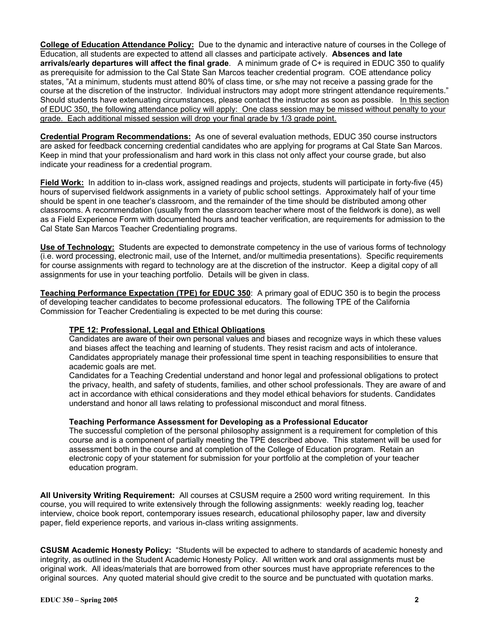**College of Education Attendance Policy:** Due to the dynamic and interactive nature of courses in the College of Education, all students are expected to attend all classes and participate actively. **Absences and late arrivals/early departures will affect the final grade**. A minimum grade of C+ is required in EDUC 350 to qualify as prerequisite for admission to the Cal State San Marcos teacher credential program. COE attendance policy states, "At a minimum, students must attend 80% of class time, or s/he may not receive a passing grade for the course at the discretion of the instructor. Individual instructors may adopt more stringent attendance requirements." Should students have extenuating circumstances, please contact the instructor as soon as possible. In this section of EDUC 350, the following attendance policy will apply: One class session may be missed without penalty to your grade. Each additional missed session will drop your final grade by 1/3 grade point.

**Credential Program Recommendations:** As one of several evaluation methods, EDUC 350 course instructors are asked for feedback concerning credential candidates who are applying for programs at Cal State San Marcos. Keep in mind that your professionalism and hard work in this class not only affect your course grade, but also indicate your readiness for a credential program.

**Field Work:** In addition to in-class work, assigned readings and projects, students will participate in forty-five (45) hours of supervised fieldwork assignments in a variety of public school settings. Approximately half of your time should be spent in one teacher's classroom, and the remainder of the time should be distributed among other classrooms. A recommendation (usually from the classroom teacher where most of the fieldwork is done), as well as a Field Experience Form with documented hours and teacher verification, are requirements for admission to the Cal State San Marcos Teacher Credentialing programs.

**Use of Technology:** Students are expected to demonstrate competency in the use of various forms of technology (i.e. word processing, electronic mail, use of the Internet, and/or multimedia presentations). Specific requirements for course assignments with regard to technology are at the discretion of the instructor. Keep a digital copy of all assignments for use in your teaching portfolio. Details will be given in class.

**Teaching Performance Expectation (TPE) for EDUC 350**: A primary goal of EDUC 350 is to begin the process of developing teacher candidates to become professional educators. The following TPE of the California Commission for Teacher Credentialing is expected to be met during this course:

### **TPE 12: Professional, Legal and Ethical Obligations**

Candidates are aware of their own personal values and biases and recognize ways in which these values and biases affect the teaching and learning of students. They resist racism and acts of intolerance. Candidates appropriately manage their professional time spent in teaching responsibilities to ensure that academic goals are met.

Candidates for a Teaching Credential understand and honor legal and professional obligations to protect the privacy, health, and safety of students, families, and other school professionals. They are aware of and act in accordance with ethical considerations and they model ethical behaviors for students. Candidates understand and honor all laws relating to professional misconduct and moral fitness.

#### **Teaching Performance Assessment for Developing as a Professional Educator**

The successful completion of the personal philosophy assignment is a requirement for completion of this course and is a component of partially meeting the TPE described above. This statement will be used for assessment both in the course and at completion of the College of Education program. Retain an electronic copy of your statement for submission for your portfolio at the completion of your teacher education program.

**All University Writing Requirement:** All courses at CSUSM require a 2500 word writing requirement. In this course, you will required to write extensively through the following assignments: weekly reading log, teacher interview, choice book report, contemporary issues research, educational philosophy paper, law and diversity paper, field experience reports, and various in-class writing assignments.

**CSUSM Academic Honesty Policy:** "Students will be expected to adhere to standards of academic honesty and integrity, as outlined in the Student Academic Honesty Policy. All written work and oral assignments must be original work. All ideas/materials that are borrowed from other sources must have appropriate references to the original sources. Any quoted material should give credit to the source and be punctuated with quotation marks.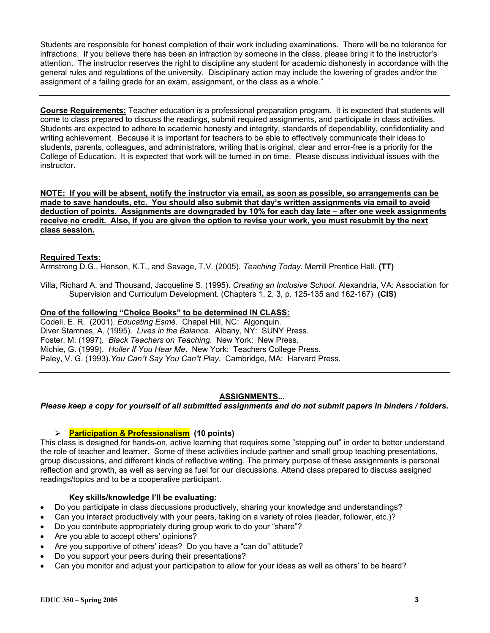Students are responsible for honest completion of their work including examinations. There will be no tolerance for infractions. If you believe there has been an infraction by someone in the class, please bring it to the instructor's attention. The instructor reserves the right to discipline any student for academic dishonesty in accordance with the general rules and regulations of the university. Disciplinary action may include the lowering of grades and/or the assignment of a failing grade for an exam, assignment, or the class as a whole."

**Course Requirements:** Teacher education is a professional preparation program. It is expected that students will come to class prepared to discuss the readings, submit required assignments, and participate in class activities. Students are expected to adhere to academic honesty and integrity, standards of dependability, confidentiality and writing achievement. Because it is important for teachers to be able to effectively communicate their ideas to students, parents, colleagues, and administrators, writing that is original, clear and error-free is a priority for the College of Education. It is expected that work will be turned in on time. Please discuss individual issues with the instructor.

**NOTE: If you will be absent, notify the instructor via email, as soon as possible, so arrangements can be made to save handouts, etc. You should also submit that day's written assignments via email to avoid deduction of points. Assignments are downgraded by 10% for each day late – after one week assignments receive no credit. Also, if you are given the option to revise your work, you must resubmit by the next class session.**

### **Required Texts:**

Armstrong D.G., Henson, K.T., and Savage, T.V. (2005). *Teaching Today.* Merrill Prentice Hall. **(TT)**

Villa, Richard A. and Thousand, Jacqueline S. (1995). *Creating an Inclusive School.* Alexandria, VA: Association for Supervision and Curriculum Development. (Chapters 1, 2, 3, p. 125-135 and 162-167) **(CIS)**

### **One of the following "Choice Books" to be determined IN CLASS:**

Codell, E. R. (2001). *Educating Esmé*. Chapel Hill, NC: Algonquin. Diver Stamnes, A. (1995). *Lives in the Balance*. Albany, NY: SUNY Press. Foster, M. (1997). *Black Teachers on Teaching*. New York: New Press. Michie, G. (1999). *Holler If You Hear Me*. New York: Teachers College Press. Paley, V. G. (1993). You Can<sup>1</sup>t Say You Can<sup>1</sup>t Play. Cambridge, MA: Harvard Press.

### **ASSIGNMENTS...**

#### *Please keep a copy for yourself of all submitted assignments and do not submit papers in binders / folders.*

### ¾ **Participation & Professionalism (10 points)**

This class is designed for hands-on, active learning that requires some "stepping out" in order to better understand the role of teacher and learner. Some of these activities include partner and small group teaching presentations, group discussions, and different kinds of reflective writing. The primary purpose of these assignments is personal reflection and growth, as well as serving as fuel for our discussions. Attend class prepared to discuss assigned readings/topics and to be a cooperative participant.

### **Key skills/knowledge I'll be evaluating:**

- Do you participate in class discussions productively, sharing your knowledge and understandings?
- Can you interact productively with your peers, taking on a variety of roles (leader, follower, etc.)?
- Do you contribute appropriately during group work to do your "share"?
- Are you able to accept others' opinions?
- Are you supportive of others' ideas? Do you have a "can do" attitude?
- Do you support your peers during their presentations?
- Can you monitor and adjust your participation to allow for your ideas as well as others' to be heard?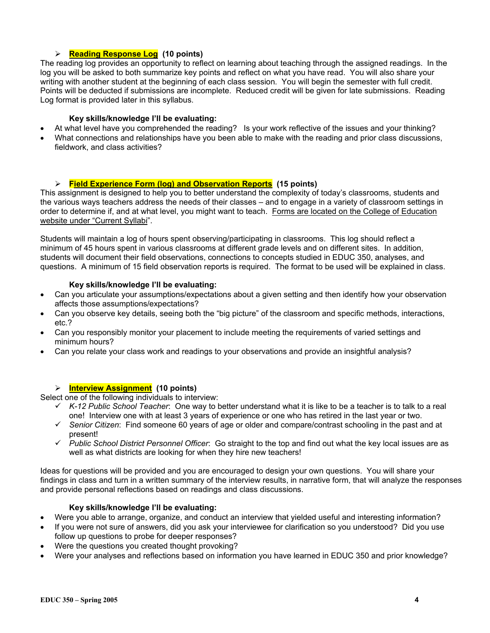# ¾ **Reading Response Log (10 points)**

The reading log provides an opportunity to reflect on learning about teaching through the assigned readings. In the log you will be asked to both summarize key points and reflect on what you have read. You will also share your writing with another student at the beginning of each class session. You will begin the semester with full credit. Points will be deducted if submissions are incomplete. Reduced credit will be given for late submissions. Reading Log format is provided later in this syllabus.

### **Key skills/knowledge I'll be evaluating:**

- At what level have you comprehended the reading? Is your work reflective of the issues and your thinking?
- What connections and relationships have you been able to make with the reading and prior class discussions, fieldwork, and class activities?

### ¾ **Field Experience Form (log) and Observation Reports (15 points)**

This assignment is designed to help you to better understand the complexity of today's classrooms, students and the various ways teachers address the needs of their classes – and to engage in a variety of classroom settings in order to determine if, and at what level, you might want to teach. Forms are located on the College of Education website under "Current Syllabi".

Students will maintain a log of hours spent observing/participating in classrooms. This log should reflect a minimum of 45 hours spent in various classrooms at different grade levels and on different sites. In addition, students will document their field observations, connections to concepts studied in EDUC 350, analyses, and questions. A minimum of 15 field observation reports is required. The format to be used will be explained in class.

### **Key skills/knowledge I'll be evaluating:**

- Can you articulate your assumptions/expectations about a given setting and then identify how your observation affects those assumptions/expectations?
- Can you observe key details, seeing both the "big picture" of the classroom and specific methods, interactions, etc.?
- Can you responsibly monitor your placement to include meeting the requirements of varied settings and minimum hours?
- Can you relate your class work and readings to your observations and provide an insightful analysis?

# ¾ **Interview Assignment (10 points)**

Select one of the following individuals to interview:

- 9 *K-12 Public School Teacher*: One way to better understand what it is like to be a teacher is to talk to a real one! Interview one with at least 3 years of experience or one who has retired in the last year or two.
- 9 *Senior Citizen*: Find someone 60 years of age or older and compare/contrast schooling in the past and at present!
- 9 *Public School District Personnel Officer*: Go straight to the top and find out what the key local issues are as well as what districts are looking for when they hire new teachers!

Ideas for questions will be provided and you are encouraged to design your own questions. You will share your findings in class and turn in a written summary of the interview results, in narrative form, that will analyze the responses and provide personal reflections based on readings and class discussions.

#### **Key skills/knowledge I'll be evaluating:**

- Were you able to arrange, organize, and conduct an interview that yielded useful and interesting information?
- If you were not sure of answers, did you ask your interviewee for clarification so you understood? Did you use follow up questions to probe for deeper responses?
- Were the questions you created thought provoking?
- Were your analyses and reflections based on information you have learned in EDUC 350 and prior knowledge?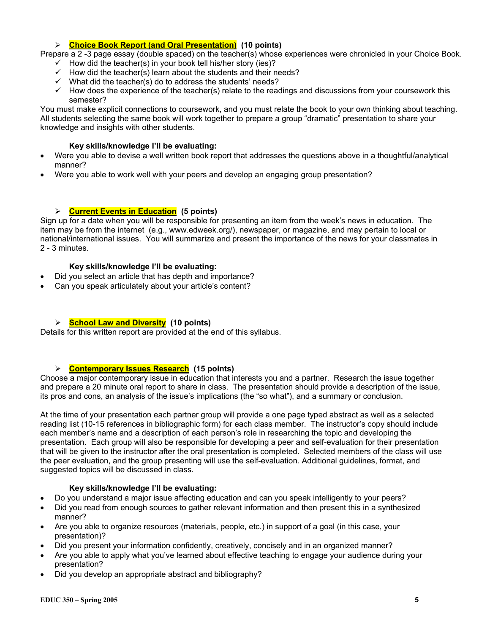### ¾ **Choice Book Report (and Oral Presentation) (10 points)**

Prepare a 2-3 page essay (double spaced) on the teacher(s) whose experiences were chronicled in your Choice Book.

- $\checkmark$  How did the teacher(s) in your book tell his/her story (ies)?
- $\checkmark$  How did the teacher(s) learn about the students and their needs?
- $\checkmark$  What did the teacher(s) do to address the students' needs?
- $\checkmark$  How does the experience of the teacher(s) relate to the readings and discussions from your coursework this semester?

You must make explicit connections to coursework, and you must relate the book to your own thinking about teaching. All students selecting the same book will work together to prepare a group "dramatic" presentation to share your knowledge and insights with other students.

# **Key skills/knowledge I'll be evaluating:**

- Were you able to devise a well written book report that addresses the questions above in a thoughtful/analytical manner?
- Were you able to work well with your peers and develop an engaging group presentation?

# ¾ **Current Events in Education (5 points)**

Sign up for a date when you will be responsible for presenting an item from the week's news in education. The item may be from the internet (e.g., www.edweek.org/), newspaper, or magazine, and may pertain to local or national/international issues. You will summarize and present the importance of the news for your classmates in 2 - 3 minutes.

# **Key skills/knowledge I'll be evaluating:**

- Did you select an article that has depth and importance?
- Can you speak articulately about your article's content?

# ¾ **School Law and Diversity (10 points)**

Details for this written report are provided at the end of this syllabus.

# ¾ **Contemporary Issues Research (15 points)**

Choose a major contemporary issue in education that interests you and a partner. Research the issue together and prepare a 20 minute oral report to share in class. The presentation should provide a description of the issue, its pros and cons, an analysis of the issue's implications (the "so what"), and a summary or conclusion.

At the time of your presentation each partner group will provide a one page typed abstract as well as a selected reading list (10-15 references in bibliographic form) for each class member. The instructor's copy should include each member's name and a description of each person's role in researching the topic and developing the presentation. Each group will also be responsible for developing a peer and self-evaluation for their presentation that will be given to the instructor after the oral presentation is completed. Selected members of the class will use the peer evaluation, and the group presenting will use the self-evaluation. Additional guidelines, format, and suggested topics will be discussed in class.

### **Key skills/knowledge I'll be evaluating:**

- Do you understand a major issue affecting education and can you speak intelligently to your peers?
- Did you read from enough sources to gather relevant information and then present this in a synthesized manner?
- Are you able to organize resources (materials, people, etc.) in support of a goal (in this case, your presentation)?
- Did you present your information confidently, creatively, concisely and in an organized manner?
- Are you able to apply what you've learned about effective teaching to engage your audience during your presentation?
- Did you develop an appropriate abstract and bibliography?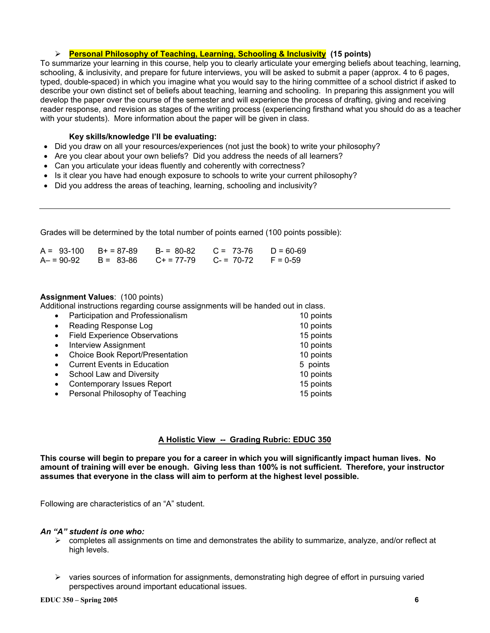### ¾ **Personal Philosophy of Teaching, Learning, Schooling & Inclusivity (15 points)**

To summarize your learning in this course, help you to clearly articulate your emerging beliefs about teaching, learning, schooling, & inclusivity, and prepare for future interviews, you will be asked to submit a paper (approx. 4 to 6 pages, typed, double-spaced) in which you imagine what you would say to the hiring committee of a school district if asked to describe your own distinct set of beliefs about teaching, learning and schooling. In preparing this assignment you will develop the paper over the course of the semester and will experience the process of drafting, giving and receiving reader response, and revision as stages of the writing process (experiencing firsthand what you should do as a teacher with your students). More information about the paper will be given in class.

#### **Key skills/knowledge I'll be evaluating:**

- Did you draw on all your resources/experiences (not just the book) to write your philosophy?
- Are you clear about your own beliefs? Did you address the needs of all learners?
- Can you articulate your ideas fluently and coherently with correctness?
- Is it clear you have had enough exposure to schools to write your current philosophy?
- Did you address the areas of teaching, learning, schooling and inclusivity?

Grades will be determined by the total number of points earned (100 points possible):

| $A = 93-100$ $B+ = 87-89$ |           |                                        | $B = 80-82$ $C = 73-76$ $D = 60-69$ |  |
|---------------------------|-----------|----------------------------------------|-------------------------------------|--|
| $A - 90-92$               | B = 83-86 | $C_+ = 77-79$ $C_- = 70-72$ $F = 0-59$ |                                     |  |

#### **Assignment Values**: (100 points)

Additional instructions regarding course assignments will be handed out in class.

| $\bullet$ | Participation and Professionalism    | 10 points |
|-----------|--------------------------------------|-----------|
| $\bullet$ | Reading Response Log                 | 10 points |
| $\bullet$ | <b>Field Experience Observations</b> | 15 points |
| $\bullet$ | <b>Interview Assignment</b>          | 10 points |
| $\bullet$ | Choice Book Report/Presentation      | 10 points |
| $\bullet$ | <b>Current Events in Education</b>   | 5 points  |
| $\bullet$ | School Law and Diversity             | 10 points |
| $\bullet$ | <b>Contemporary Issues Report</b>    | 15 points |
| $\bullet$ | Personal Philosophy of Teaching      | 15 points |
|           |                                      |           |

### **A Holistic View -- Grading Rubric: EDUC 350**

**This course will begin to prepare you for a career in which you will significantly impact human lives. No amount of training will ever be enough. Giving less than 100% is not sufficient. Therefore, your instructor assumes that everyone in the class will aim to perform at the highest level possible.** 

Following are characteristics of an "A" student.

#### *An "A" student is one who:*

- $\triangleright$  completes all assignments on time and demonstrates the ability to summarize, analyze, and/or reflect at high levels.
- $\triangleright$  varies sources of information for assignments, demonstrating high degree of effort in pursuing varied perspectives around important educational issues.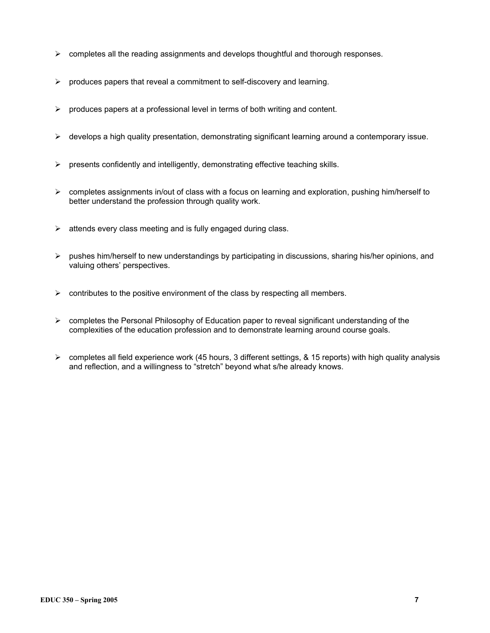- $\triangleright$  completes all the reading assignments and develops thoughtful and thorough responses.
- $\triangleright$  produces papers that reveal a commitment to self-discovery and learning.
- $\triangleright$  produces papers at a professional level in terms of both writing and content.
- ¾ develops a high quality presentation, demonstrating significant learning around a contemporary issue.
- $\triangleright$  presents confidently and intelligently, demonstrating effective teaching skills.
- $\triangleright$  completes assignments in/out of class with a focus on learning and exploration, pushing him/herself to better understand the profession through quality work.
- $\triangleright$  attends every class meeting and is fully engaged during class.
- $\triangleright$  pushes him/herself to new understandings by participating in discussions, sharing his/her opinions, and valuing others' perspectives.
- $\triangleright$  contributes to the positive environment of the class by respecting all members.
- $\triangleright$  completes the Personal Philosophy of Education paper to reveal significant understanding of the complexities of the education profession and to demonstrate learning around course goals.
- $\triangleright$  completes all field experience work (45 hours, 3 different settings, & 15 reports) with high quality analysis and reflection, and a willingness to "stretch" beyond what s/he already knows.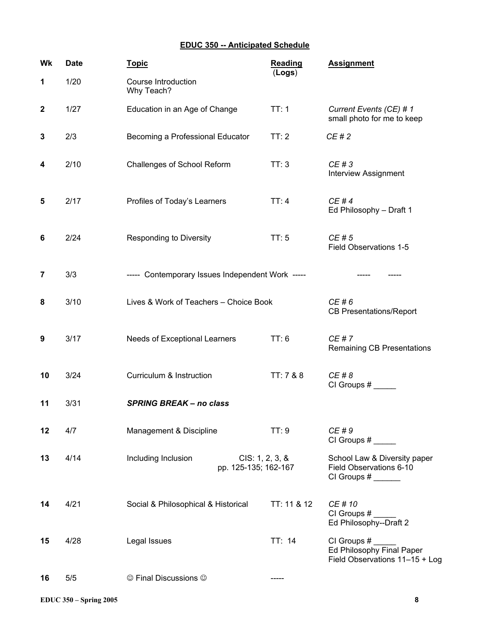# **EDUC 350 -- Anticipated Schedule**

| Wk               | <b>Date</b> | <b>Topic</b>                                                   | <b>Reading</b><br>(Logs) | <b>Assignment</b>                                                          |
|------------------|-------------|----------------------------------------------------------------|--------------------------|----------------------------------------------------------------------------|
| 1                | 1/20        | Course Introduction<br>Why Teach?                              |                          |                                                                            |
| $\boldsymbol{2}$ | 1/27        | Education in an Age of Change                                  | TT:1                     | Current Events (CE) # 1<br>small photo for me to keep                      |
| 3                | 2/3         | Becoming a Professional Educator                               | TT:2                     | CE#2                                                                       |
| 4                | 2/10        | Challenges of School Reform                                    | TT:3                     | CE # 3<br><b>Interview Assignment</b>                                      |
| 5                | 2/17        | Profiles of Today's Learners                                   | TT:4                     | CE#4<br>Ed Philosophy - Draft 1                                            |
| 6                | 2/24        | <b>Responding to Diversity</b>                                 | TT: 5                    | CE#5<br>Field Observations 1-5                                             |
| 7                | 3/3         | ----- Contemporary Issues Independent Work -----               |                          |                                                                            |
| 8                | 3/10        | Lives & Work of Teachers - Choice Book                         |                          | CE#6<br><b>CB Presentations/Report</b>                                     |
| 9                | 3/17        | Needs of Exceptional Learners                                  | TT: 6                    | CE # 7<br>Remaining CB Presentations                                       |
| 10               | 3/24        | Curriculum & Instruction                                       | TT: 7 & 8                | CE # 8<br>CI Groups #                                                      |
| 11               | 3/31        | <b>SPRING BREAK - no class</b>                                 |                          |                                                                            |
| 12               | 4/7         | Management & Discipline                                        | TT:9                     | CE # 9<br>CI Groups #                                                      |
| 13               | 4/14        | CIS: 1, 2, 3, 8<br>Including Inclusion<br>pp. 125-135; 162-167 |                          | School Law & Diversity paper<br>Field Observations 6-10<br>CI Groups #     |
| 14               | 4/21        | Social & Philosophical & Historical                            | TT: 11 & 12              | CE # 10<br>Ed Philosophy--Draft 2                                          |
| 15               | 4/28        | Legal Issues                                                   | TT: 14                   | CI Groups #<br>Ed Philosophy Final Paper<br>Field Observations 11-15 + Log |
| 16               | 5/5         | © Final Discussions ©                                          |                          |                                                                            |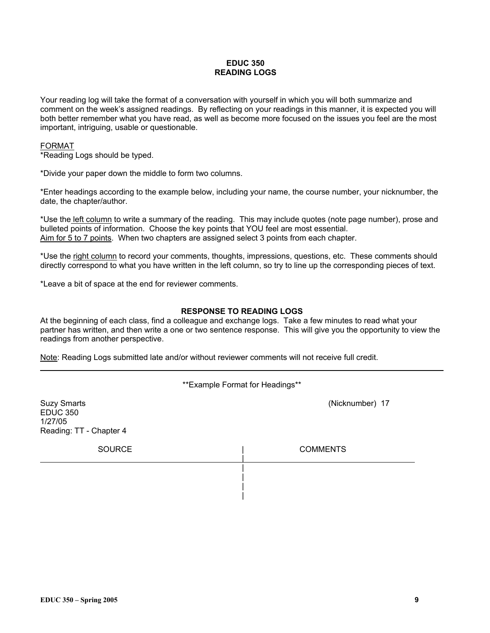### **EDUC 350 READING LOGS**

Your reading log will take the format of a conversation with yourself in which you will both summarize and comment on the week's assigned readings. By reflecting on your readings in this manner, it is expected you will both better remember what you have read, as well as become more focused on the issues you feel are the most important, intriguing, usable or questionable.

### FORMAT

\*Reading Logs should be typed.

\*Divide your paper down the middle to form two columns.

\*Enter headings according to the example below, including your name, the course number, your nicknumber, the date, the chapter/author.

\*Use the left column to write a summary of the reading. This may include quotes (note page number), prose and bulleted points of information. Choose the key points that YOU feel are most essential. Aim for 5 to 7 points. When two chapters are assigned select 3 points from each chapter.

\*Use the right column to record your comments, thoughts, impressions, questions, etc. These comments should directly correspond to what you have written in the left column, so try to line up the corresponding pieces of text.

\*Leave a bit of space at the end for reviewer comments.

#### **RESPONSE TO READING LOGS**

At the beginning of each class, find a colleague and exchange logs. Take a few minutes to read what your partner has written, and then write a one or two sentence response. This will give you the opportunity to view the readings from another perspective.

Note: Reading Logs submitted late and/or without reviewer comments will not receive full credit.

\*\*Example Format for Headings\*\*

| <b>Suzy Smarts</b><br><b>EDUC 350</b><br>1/27/05<br>Reading: TT - Chapter 4 | (Nicknumber) 17 |
|-----------------------------------------------------------------------------|-----------------|
| <b>SOURCE</b>                                                               | <b>COMMENTS</b> |
|                                                                             |                 |
|                                                                             |                 |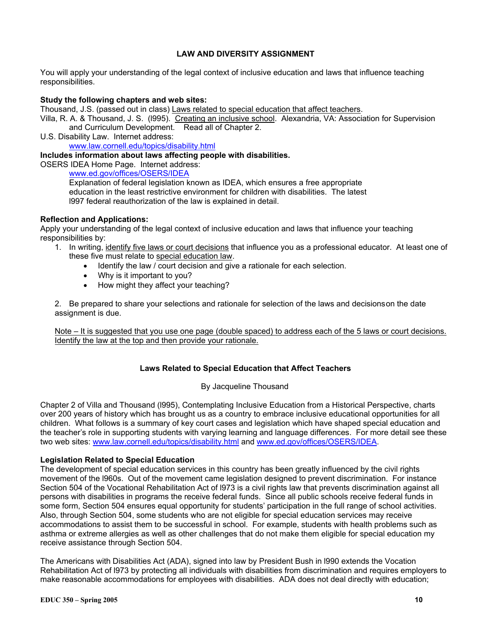### **LAW AND DIVERSITY ASSIGNMENT**

You will apply your understanding of the legal context of inclusive education and laws that influence teaching responsibilities.

#### **Study the following chapters and web sites:**

Thousand, J.S. (passed out in class) Laws related to special education that affect teachers.

Villa, R. A. & Thousand, J. S. (1995). Creating an inclusive school. Alexandria, VA: Association for Supervision and Curriculum Development. Read all of Chapter 2.

U.S. Disability Law. Internet address: www.law.cornell.edu/topics/disability.html

#### **Includes information about laws affecting people with disabilities.**

OSERS IDEA Home Page. Internet address:

www.ed.gov/offices/OSERS/IDEA

Explanation of federal legislation known as IDEA, which ensures a free appropriate education in the least restrictive environment for children with disabilities. The latest l997 federal reauthorization of the law is explained in detail.

#### **Reflection and Applications:**

Apply your understanding of the legal context of inclusive education and laws that influence your teaching responsibilities by:

- 1. In writing, identify five laws or court decisions that influence you as a professional educator. At least one of these five must relate to special education law.
	- Identify the law / court decision and give a rationale for each selection.
	- Why is it important to you?
	- How might they affect your teaching?

2. Be prepared to share your selections and rationale for selection of the laws and decisions on the date assignment is due.

Note – It is suggested that you use one page (double spaced) to address each of the 5 laws or court decisions. Identify the law at the top and then provide your rationale.

#### **Laws Related to Special Education that Affect Teachers**

#### By Jacqueline Thousand

Chapter 2 of Villa and Thousand (l995), Contemplating Inclusive Education from a Historical Perspective, charts over 200 years of history which has brought us as a country to embrace inclusive educational opportunities for all children. What follows is a summary of key court cases and legislation which have shaped special education and the teacher's role in supporting students with varying learning and language differences. For more detail see these two web sites: www.law.cornell.edu/topics/disability.html and www.ed.gov/offices/OSERS/IDEA.

#### **Legislation Related to Special Education**

The development of special education services in this country has been greatly influenced by the civil rights movement of the l960s. Out of the movement came legislation designed to prevent discrimination. For instance Section 504 of the Vocational Rehabilitation Act of l973 is a civil rights law that prevents discrimination against all persons with disabilities in programs the receive federal funds. Since all public schools receive federal funds in some form, Section 504 ensures equal opportunity for students' participation in the full range of school activities. Also, through Section 504, some students who are not eligible for special education services may receive accommodations to assist them to be successful in school. For example, students with health problems such as asthma or extreme allergies as well as other challenges that do not make them eligible for special education my receive assistance through Section 504.

The Americans with Disabilities Act (ADA), signed into law by President Bush in l990 extends the Vocation Rehabilitation Act of l973 by protecting all individuals with disabilities from discrimination and requires employers to make reasonable accommodations for employees with disabilities. ADA does not deal directly with education;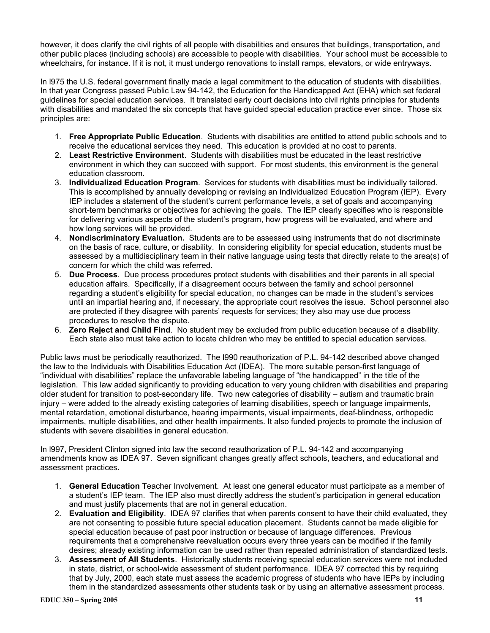however, it does clarify the civil rights of all people with disabilities and ensures that buildings, transportation, and other public places (including schools) are accessible to people with disabilities. Your school must be accessible to wheelchairs, for instance. If it is not, it must undergo renovations to install ramps, elevators, or wide entryways.

In l975 the U.S. federal government finally made a legal commitment to the education of students with disabilities. In that year Congress passed Public Law 94-142, the Education for the Handicapped Act (EHA) which set federal guidelines for special education services. It translated early court decisions into civil rights principles for students with disabilities and mandated the six concepts that have guided special education practice ever since. Those six principles are:

- 1. **Free Appropriate Public Education**. Students with disabilities are entitled to attend public schools and to receive the educational services they need. This education is provided at no cost to parents.
- 2. **Least Restrictive Environment**. Students with disabilities must be educated in the least restrictive environment in which they can succeed with support. For most students, this environment is the general education classroom.
- 3. **Individualized Education Program**. Services for students with disabilities must be individually tailored. This is accomplished by annually developing or revising an Individualized Education Program (IEP). Every IEP includes a statement of the student's current performance levels, a set of goals and accompanying short-term benchmarks or objectives for achieving the goals. The IEP clearly specifies who is responsible for delivering various aspects of the student's program, how progress will be evaluated, and where and how long services will be provided.
- 4. **Nondiscriminatory Evaluation.** Students are to be assessed using instruments that do not discriminate on the basis of race, culture, or disability. In considering eligibility for special education, students must be assessed by a multidisciplinary team in their native language using tests that directly relate to the area(s) of concern for which the child was referred.
- 5. **Due Process**. Due process procedures protect students with disabilities and their parents in all special education affairs. Specifically, if a disagreement occurs between the family and school personnel regarding a student's eligibility for special education, no changes can be made in the student's services until an impartial hearing and, if necessary, the appropriate court resolves the issue. School personnel also are protected if they disagree with parents' requests for services; they also may use due process procedures to resolve the dispute.
- 6. **Zero Reject and Child Find**. No student may be excluded from public education because of a disability. Each state also must take action to locate children who may be entitled to special education services.

Public laws must be periodically reauthorized. The l990 reauthorization of P.L. 94-142 described above changed the law to the Individuals with Disabilities Education Act (IDEA). The more suitable person-first language of "individual with disabilities" replace the unfavorable labeling language of "the handicapped" in the title of the legislation. This law added significantly to providing education to very young children with disabilities and preparing older student for transition to post-secondary life. Two new categories of disability – autism and traumatic brain injury – were added to the already existing categories of learning disabilities, speech or language impairments, mental retardation, emotional disturbance, hearing impairments, visual impairments, deaf-blindness, orthopedic impairments, multiple disabilities, and other health impairments. It also funded projects to promote the inclusion of students with severe disabilities in general education.

In l997, President Clinton signed into law the second reauthorization of P.L. 94-142 and accompanying amendments know as IDEA 97. Seven significant changes greatly affect schools, teachers, and educational and assessment practices**.** 

- 1. **General Education** Teacher Involvement. At least one general educator must participate as a member of a student's IEP team. The IEP also must directly address the student's participation in general education and must justify placements that are not in general education.
- 2. **Evaluation and Eligibility**. IDEA 97 clarifies that when parents consent to have their child evaluated, they are not consenting to possible future special education placement. Students cannot be made eligible for special education because of past poor instruction or because of language differences. Previous requirements that a comprehensive reevaluation occurs every three years can be modified if the family desires; already existing information can be used rather than repeated administration of standardized tests.
- 3. **Assessment of All Students**. Historically students receiving special education services were not included in state, district, or school-wide assessment of student performance. IDEA 97 corrected this by requiring that by July, 2000, each state must assess the academic progress of students who have IEPs by including them in the standardized assessments other students task or by using an alternative assessment process.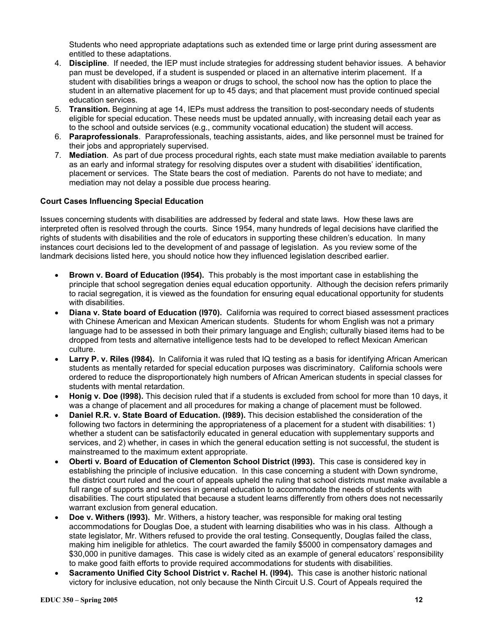Students who need appropriate adaptations such as extended time or large print during assessment are entitled to these adaptations.

- 4. **Discipline**. If needed, the IEP must include strategies for addressing student behavior issues. A behavior pan must be developed, if a student is suspended or placed in an alternative interim placement. If a student with disabilities brings a weapon or drugs to school, the school now has the option to place the student in an alternative placement for up to 45 days; and that placement must provide continued special education services.
- 5. **Transition.** Beginning at age 14, IEPs must address the transition to post-secondary needs of students eligible for special education. These needs must be updated annually, with increasing detail each year as to the school and outside services (e.g., community vocational education) the student will access.
- 6. **Paraprofessionals**. Paraprofessionals, teaching assistants, aides, and like personnel must be trained for their jobs and appropriately supervised.
- 7. **Mediation**. As part of due process procedural rights, each state must make mediation available to parents as an early and informal strategy for resolving disputes over a student with disabilities' identification, placement or services. The State bears the cost of mediation. Parents do not have to mediate; and mediation may not delay a possible due process hearing.

### **Court Cases Influencing Special Education**

Issues concerning students with disabilities are addressed by federal and state laws. How these laws are interpreted often is resolved through the courts. Since 1954, many hundreds of legal decisions have clarified the rights of students with disabilities and the role of educators in supporting these children's education. In many instances court decisions led to the development of and passage of legislation. As you review some of the landmark decisions listed here, you should notice how they influenced legislation described earlier.

- **Brown v. Board of Education (l954).** This probably is the most important case in establishing the principle that school segregation denies equal education opportunity. Although the decision refers primarily to racial segregation, it is viewed as the foundation for ensuring equal educational opportunity for students with disabilities.
- **Diana v. State board of Education (l970).** California was required to correct biased assessment practices with Chinese American and Mexican American students. Students for whom English was not a primary language had to be assessed in both their primary language and English; culturally biased items had to be dropped from tests and alternative intelligence tests had to be developed to reflect Mexican American culture.
- **Larry P. v. Riles (l984).** In California it was ruled that IQ testing as a basis for identifying African American students as mentally retarded for special education purposes was discriminatory. California schools were ordered to reduce the disproportionately high numbers of African American students in special classes for students with mental retardation.
- **Honig v. Doe (l998).** This decision ruled that if a students is excluded from school for more than 10 days, it was a change of placement and all procedures for making a change of placement must be followed.
- **Daniel R.R. v. State Board of Education. (l989).** This decision established the consideration of the following two factors in determining the appropriateness of a placement for a student with disabilities: 1) whether a student can be satisfactorily educated in general education with supplementary supports and services, and 2) whether, in cases in which the general education setting is not successful, the student is mainstreamed to the maximum extent appropriate.
- **Oberti v. Board of Education of Clementon School District (l993).** This case is considered key in establishing the principle of inclusive education. In this case concerning a student with Down syndrome, the district court ruled and the court of appeals upheld the ruling that school districts must make available a full range of supports and services in general education to accommodate the needs of students with disabilities. The court stipulated that because a student learns differently from others does not necessarily warrant exclusion from general education.
- **Doe v. Withers (l993).** Mr. Withers, a history teacher, was responsible for making oral testing accommodations for Douglas Doe, a student with learning disabilities who was in his class. Although a state legislator, Mr. Withers refused to provide the oral testing. Consequently, Douglas failed the class, making him ineligible for athletics. The court awarded the family \$5000 in compensatory damages and \$30,000 in punitive damages. This case is widely cited as an example of general educators' responsibility to make good faith efforts to provide required accommodations for students with disabilities.
- **Sacramento Unified City School District v. Rachel H. (l994).** This case is another historic national victory for inclusive education, not only because the Ninth Circuit U.S. Court of Appeals required the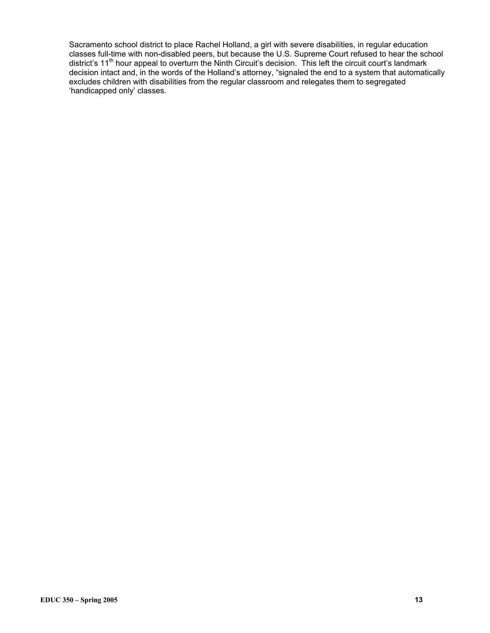Sacramento school district to place Rachel Holland, a girl with severe disabilities, in regular education classes full-time with non-disabled peers, but because the U.S. Supreme Court refused to hear the school district's 11th hour appeal to overturn the Ninth Circuit's decision. This left the circuit court's landmark decision intact and, in the words of the Holland's attorney, "signaled the end to a system that automatically excludes children with disabilities from the regular classroom and relegates them to segregated 'handicapped only' classes.